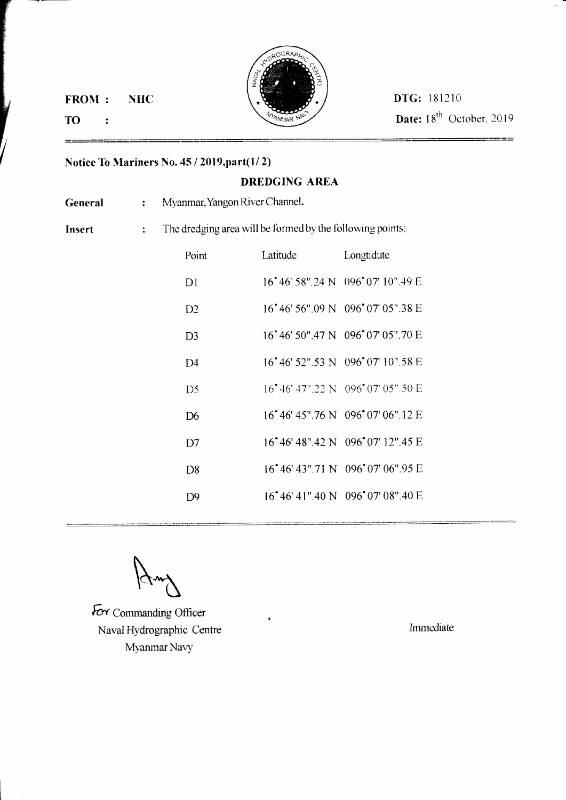FROM:



Date: 18<sup>th</sup> October, 2019

=

## TO:  $\ddot{\cdot}$

## Notice To Mariners No.  $45 / 2019$ , part $(1/2)$

## DREDGING AREA

Myanmar, Yangon River Channel. General :

Insert :

The dredging area will be formed by the following points;

| Point          | Latitude | <b>Example 1</b> Longtidute                                |
|----------------|----------|------------------------------------------------------------|
| D1             |          | 16°46' 58".24 N 096°07' 10".49 E                           |
| D2             |          | 16 <sup>*</sup> 46' 56".09 N 096 <sup>*</sup> 07' 05".38 E |
| D <sub>3</sub> |          | 16°46' 50".47 N 096°07' 05".70 E                           |
| D4             |          | 16°46' 52" 53 N 096°07' 10" 58 E                           |
| D5             |          | 16 <sup>*</sup> 46' 47".22 N 096 <sup>*</sup> 07' 05".50 E |
| D <sub>6</sub> |          | 16°46'45".76 N 096°07'06".12 E                             |
| D <sub>7</sub> |          | 16°46′48″.42 N 096°07′12″.45 E                             |
| D8             |          | 16° 46′ 43″ 71 N 096° 07′ 06″ 95 E                         |
| D9             |          | 16°46'41".40 N 096°07'08".40 E                             |
|                |          |                                                            |

 $\forall x \forall$ 

For Commanding Officer Naval Hydrographic Centre Myanmar Navy

Immediate